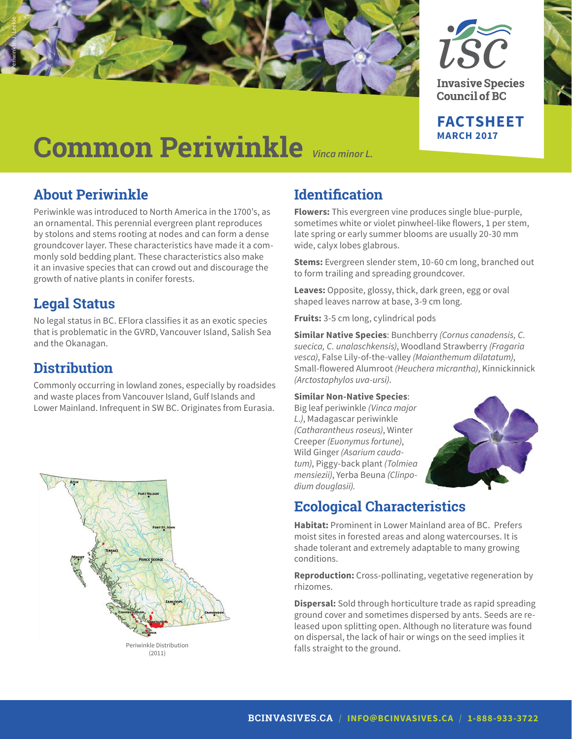



**Invasive Species Council of BC** 

**FACTSHEET MARCH 2017**

# **Common Periwinkle** *Vinca minor L.*

## **About Periwinkle**

Periwinkle was introduced to North America in the 1700's, as an ornamental. This perennial evergreen plant reproduces by stolons and stems rooting at nodes and can form a dense groundcover layer. These characteristics have made it a commonly sold bedding plant. These characteristics also make it an invasive species that can crowd out and discourage the growth of native plants in conifer forests.

## **Legal Status**

No legal status in BC. EFlora classifies it as an exotic species that is problematic in the GVRD, Vancouver Island, Salish Sea and the Okanagan.

#### **Distribution**

Commonly occurring in lowland zones, especially by roadsides and waste places from Vancouver Island, Gulf Islands and Lower Mainland. Infrequent in SW BC. Originates from Eurasia.



## **Identification**

**Flowers:** This evergreen vine produces single blue-purple, sometimes white or violet pinwheel-like flowers, 1 per stem, late spring or early summer blooms are usually 20-30 mm wide, calyx lobes glabrous.

**Stems:** Evergreen slender stem, 10-60 cm long, branched out to form trailing and spreading groundcover.

**Leaves:** Opposite, glossy, thick, dark green, egg or oval shaped leaves narrow at base, 3-9 cm long.

**Fruits:** 3-5 cm long, cylindrical pods

**Similar Native Species**: Bunchberry *(Cornus canadensis, C. suecica, C. unalaschkensis)*, Woodland Strawberry *(Fragaria vesca)*, False Lily-of-the-valley *(Maianthemum dilatatum)*, Small-flowered Alumroot *(Heuchera micrantha)*, Kinnickinnick *(Arctostaphylos uva-ursi)*.

#### **Similar Non-Native Species**:

Big leaf periwinkle *(Vinca major L.)*, Madagascar periwinkle *(Catharantheus roseus)*, Winter Creeper *(Euonymus fortune)*, Wild Ginger *(Asarium caudatum)*, Piggy-back plant *(Tolmiea mensiezii)*, Yerba Beuna *(Clinpodium douglasii).*



## **Ecological Characteristics**

**Habitat:** Prominent in Lower Mainland area of BC. Prefers moist sites in forested areas and along watercourses. It is shade tolerant and extremely adaptable to many growing conditions.

**Reproduction:** Cross-pollinating, vegetative regeneration by rhizomes.

**Dispersal:** Sold through horticulture trade as rapid spreading ground cover and sometimes dispersed by ants. Seeds are released upon splitting open. Although no literature was found on dispersal, the lack of hair or wings on the seed implies it